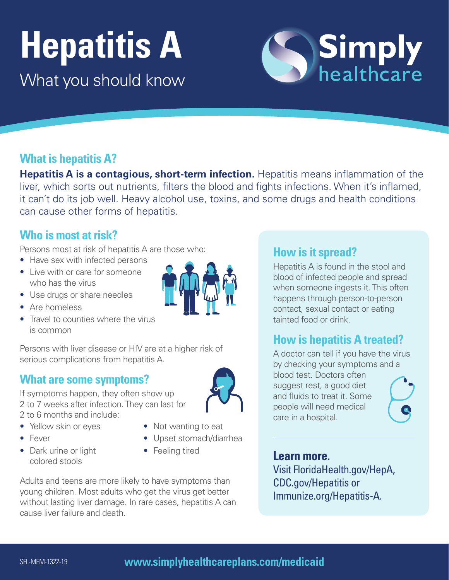# **Hepatitis A**

What you should know

# **What is hepatitis A?**

**Hepatitis A is a contagious, short-term infection.** Hepatitis means inflammation of the liver, which sorts out nutrients, filters the blood and fights infections. When it's inflamed, it can't do its job well. Heavy alcohol use, toxins, and some drugs and health conditions can cause other forms of hepatitis.

#### **Who is most at risk?**

Persons most at risk of hepatitis A are those who:

- Have sex with infected persons
- Live with or care for someone who has the virus
- Use drugs or share needles
- Are homeless
- Travel to counties where the virus is common

Persons with liver disease or HIV are at a higher risk of serious complications from hepatitis A.

# **What are some symptoms?**

If symptoms happen, they often show up 2 to 7 weeks after infection. They can last for 2 to 6 months and include:

- Yellow skin or eyes
- Fever
- Dark urine or light colored stools
- Not wanting to eat
- Upset stomach/diarrhea
- Feeling tired

cause liver failure and death. Adults and teens are more likely to have symptoms than young children. Most adults who get the virus get better without lasting liver damage. In rare cases, hepatitis A can

#### **How is it spread?**

Hepatitis A is found in the stool and blood of infected people and spread when someone ingests it. This often happens through person-to-person contact, sexual contact or eating tainted food or drink.

**Simply**<br>healthcare

#### **How is hepatitis A treated?**

A doctor can tell if you have the virus by checking your symptoms and a blood test. Doctors often suggest rest, a good diet and fluids to treat it. Some people will need medical care in a hospital.

#### **Learn more.**

Visi[t FloridaHealth.gov/HepA,](http://FloridaHealth.gov/HepA,CDC.gov/Hepatitis)  [CDC.gov/Hepatitis](http://FloridaHealth.gov/HepA,CDC.gov/Hepatitis) or [Immunize.org/Hepatitis-A.](http://Immunize.org/Hepatitis-A)



#### SFL-MEM-1322-19 **[www.simplyhealthcareplans.com/medicaid](http://www.simplyhealthcareplans.com/medicaid)**